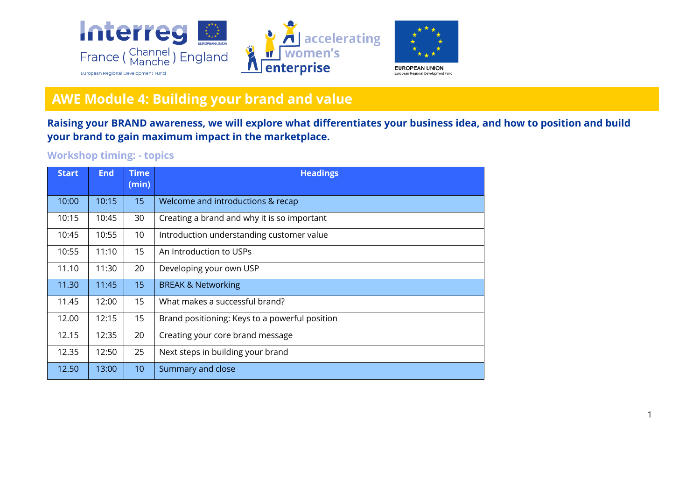

## **AWE Module 4: Building your brand and value**

**Raising your BRAND awareness, we will explore what differentiates your business idea, and how to position and build your brand to gain maximum impact in the marketplace.**

## **Workshop timing: - topics**

| <b>Start</b> | <b>End</b> | <b>Time</b><br>(min) | <b>Headings</b>                                |
|--------------|------------|----------------------|------------------------------------------------|
| 10:00        | 10:15      | 15                   | Welcome and introductions & recap              |
| 10:15        | 10:45      | 30                   | Creating a brand and why it is so important    |
| 10:45        | 10:55      | 10                   | Introduction understanding customer value      |
| 10:55        | 11:10      | 15                   | An Introduction to USPs                        |
| 11.10        | 11:30      | 20                   | Developing your own USP                        |
| 11.30        | 11:45      | 15                   | <b>BREAK &amp; Networking</b>                  |
| 11.45        | 12:00      | 15                   | What makes a successful brand?                 |
| 12.00        | 12:15      | 15                   | Brand positioning: Keys to a powerful position |
| 12.15        | 12:35      | 20                   | Creating your core brand message               |
| 12.35        | 12:50      | 25                   | Next steps in building your brand              |
| 12.50        | 13:00      | 10                   | Summary and close                              |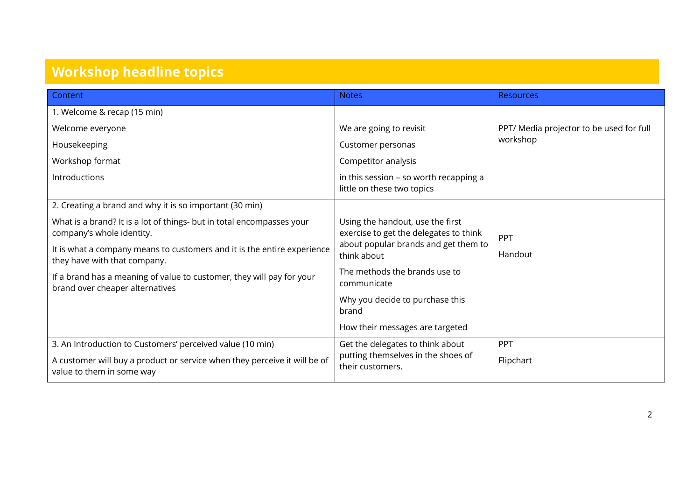## **Workshop headline topics**

| Content                                                                                                                                                                                                                                                                                | <b>Notes</b>                                                                                                                                                       | <b>Resources</b>                                     |
|----------------------------------------------------------------------------------------------------------------------------------------------------------------------------------------------------------------------------------------------------------------------------------------|--------------------------------------------------------------------------------------------------------------------------------------------------------------------|------------------------------------------------------|
| 1. Welcome & recap (15 min)                                                                                                                                                                                                                                                            |                                                                                                                                                                    |                                                      |
| Welcome everyone                                                                                                                                                                                                                                                                       | We are going to revisit                                                                                                                                            | PPT/ Media projector to be used for full<br>workshop |
| Housekeeping                                                                                                                                                                                                                                                                           | Customer personas                                                                                                                                                  |                                                      |
| Workshop format                                                                                                                                                                                                                                                                        | Competitor analysis                                                                                                                                                |                                                      |
| Introductions                                                                                                                                                                                                                                                                          | in this session - so worth recapping a<br>little on these two topics                                                                                               |                                                      |
| 2. Creating a brand and why it is so important (30 min)                                                                                                                                                                                                                                |                                                                                                                                                                    |                                                      |
| What is a brand? It is a lot of things- but in total encompasses your<br>company's whole identity.<br>It is what a company means to customers and it is the entire experience<br>they have with that company.<br>If a brand has a meaning of value to customer, they will pay for your | Using the handout, use the first<br>exercise to get the delegates to think<br>about popular brands and get them to<br>think about<br>The methods the brands use to | PPT<br>Handout                                       |
| brand over cheaper alternatives                                                                                                                                                                                                                                                        | communicate                                                                                                                                                        |                                                      |
|                                                                                                                                                                                                                                                                                        | Why you decide to purchase this<br>brand                                                                                                                           |                                                      |
|                                                                                                                                                                                                                                                                                        | How their messages are targeted                                                                                                                                    |                                                      |
| 3. An Introduction to Customers' perceived value (10 min)                                                                                                                                                                                                                              | Get the delegates to think about                                                                                                                                   | PPT                                                  |
| A customer will buy a product or service when they perceive it will be of<br>value to them in some way                                                                                                                                                                                 | putting themselves in the shoes of<br>their customers.                                                                                                             | Flipchart                                            |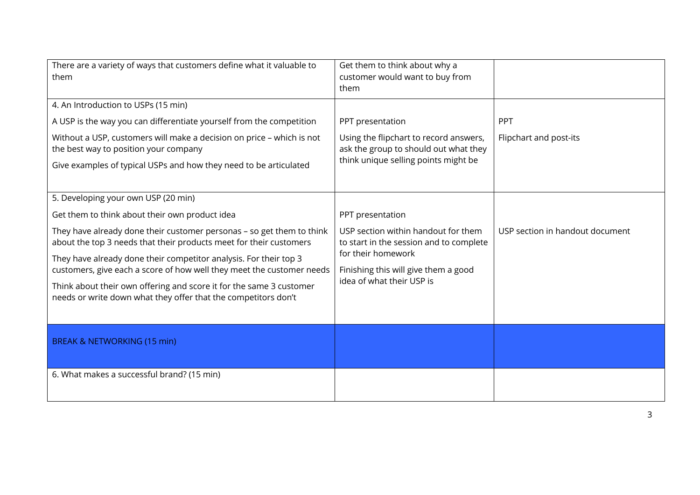| There are a variety of ways that customers define what it valuable to<br>them                                                               | Get them to think about why a<br>customer would want to buy from<br>them                                                |                                 |
|---------------------------------------------------------------------------------------------------------------------------------------------|-------------------------------------------------------------------------------------------------------------------------|---------------------------------|
| 4. An Introduction to USPs (15 min)                                                                                                         |                                                                                                                         |                                 |
| A USP is the way you can differentiate yourself from the competition                                                                        | PPT presentation                                                                                                        | PPT                             |
| Without a USP, customers will make a decision on price - which is not<br>the best way to position your company                              | Using the flipchart to record answers,<br>ask the group to should out what they<br>think unique selling points might be | Flipchart and post-its          |
| Give examples of typical USPs and how they need to be articulated                                                                           |                                                                                                                         |                                 |
| 5. Developing your own USP (20 min)                                                                                                         |                                                                                                                         |                                 |
| Get them to think about their own product idea                                                                                              | PPT presentation                                                                                                        |                                 |
| They have already done their customer personas - so get them to think<br>about the top 3 needs that their products meet for their customers | USP section within handout for them<br>to start in the session and to complete                                          | USP section in handout document |
| They have already done their competitor analysis. For their top 3<br>customers, give each a score of how well they meet the customer needs  | for their homework<br>Finishing this will give them a good<br>idea of what their USP is                                 |                                 |
| Think about their own offering and score it for the same 3 customer<br>needs or write down what they offer that the competitors don't       |                                                                                                                         |                                 |
| <b>BREAK &amp; NETWORKING (15 min)</b>                                                                                                      |                                                                                                                         |                                 |
| 6. What makes a successful brand? (15 min)                                                                                                  |                                                                                                                         |                                 |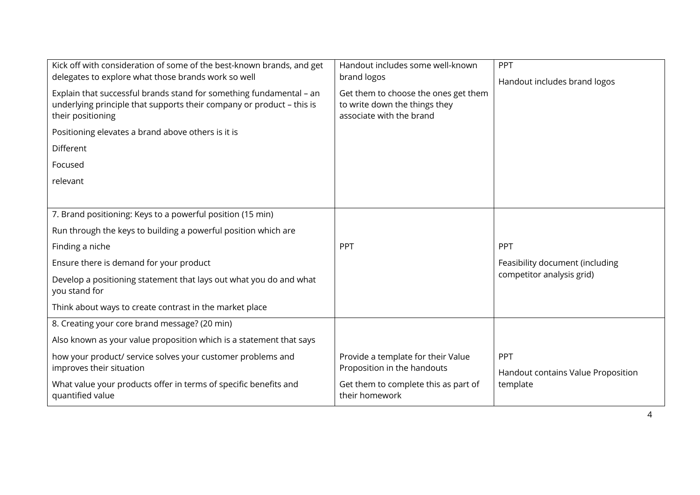| Kick off with consideration of some of the best-known brands, and get<br>delegates to explore what those brands work so well<br>Explain that successful brands stand for something fundamental - an<br>underlying principle that supports their company or product - this is<br>their positioning<br>Positioning elevates a brand above others is it is<br>Different<br>Focused<br>relevant | Handout includes some well-known<br>brand logos<br>Get them to choose the ones get them<br>to write down the things they<br>associate with the brand | PPT<br>Handout includes brand logos                                 |
|---------------------------------------------------------------------------------------------------------------------------------------------------------------------------------------------------------------------------------------------------------------------------------------------------------------------------------------------------------------------------------------------|------------------------------------------------------------------------------------------------------------------------------------------------------|---------------------------------------------------------------------|
| 7. Brand positioning: Keys to a powerful position (15 min)<br>Run through the keys to building a powerful position which are<br>Finding a niche<br>Ensure there is demand for your product<br>Develop a positioning statement that lays out what you do and what<br>you stand for<br>Think about ways to create contrast in the market place                                                | PPT                                                                                                                                                  | PPT<br>Feasibility document (including<br>competitor analysis grid) |
| 8. Creating your core brand message? (20 min)<br>Also known as your value proposition which is a statement that says<br>how your product/ service solves your customer problems and<br>improves their situation<br>What value your products offer in terms of specific benefits and<br>quantified value                                                                                     | Provide a template for their Value<br>Proposition in the handouts<br>Get them to complete this as part of<br>their homework                          | PPT<br>Handout contains Value Proposition<br>template               |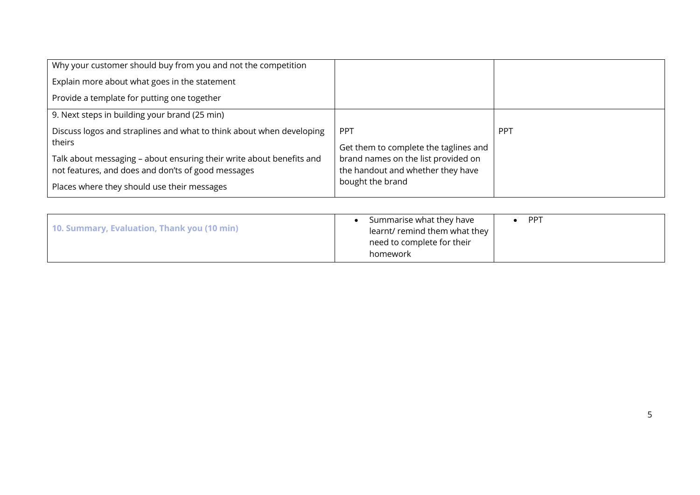|                                                                                              | <b>PPT</b>                            |
|----------------------------------------------------------------------------------------------|---------------------------------------|
| brand names on the list provided on<br>the handout and whether they have<br>bought the brand |                                       |
|                                                                                              | Get them to complete the taglines and |

| need to complete for their<br>homework | 10. Summary, Evaluation, Thank you (10 min) | Summarise what they have<br>learnt/ remind them what they | PP <sup>7</sup> |
|----------------------------------------|---------------------------------------------|-----------------------------------------------------------|-----------------|
|----------------------------------------|---------------------------------------------|-----------------------------------------------------------|-----------------|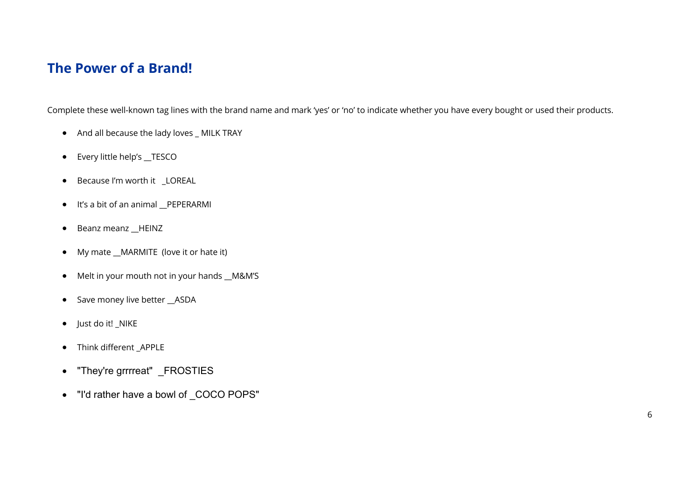## **The Power of a Brand!**

Complete these well-known tag lines with the brand name and mark 'yes' or 'no' to indicate whether you have every bought or used their products.

- And all because the lady loves MILK TRAY
- Every little help's \_\_TESCO
- Because I'm worth it \_LOREAL
- It's a bit of an animal \_\_PEPERARMI
- Beanz meanz \_\_HEINZ
- My mate \_\_MARMITE (love it or hate it)
- Melt in your mouth not in your hands \_\_M&M'S
- Save money live better \_\_ASDA
- Just do it! \_NIKE
- Think different \_APPLE
- "They're grrrreat" \_FROSTIES
- "I'd rather have a bowl of \_COCO POPS"